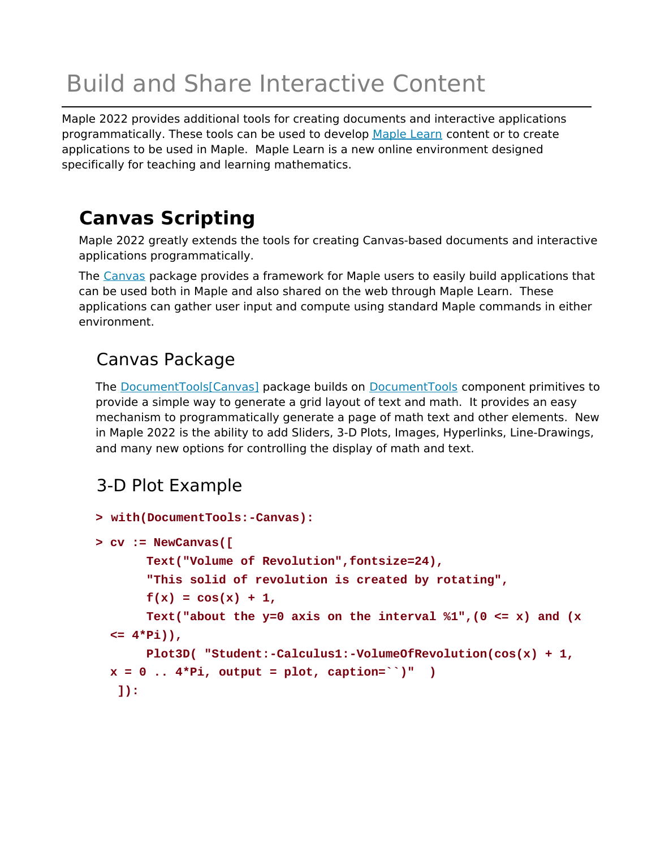# Build and Share Interactive Content

Maple 2022 provides additional tools for creating documents and interactive applications programmatically. These tools can be used to develop Maple Learn content or to create applications to be used in Maple. Maple Learn is a new online environment designed specifically for teaching and learning mathematics.

# **Canvas Scripting**

Maple 2022 greatly extends the tools for creating Canvas-based documents and interactive applications programmatically.

The Canvas package provides a framework for Maple users to easily build applications that can be used both in Maple and also shared on the web through Maple Learn. These applications can gather user input and compute using standard Maple commands in either environment.

### Canvas Package

The DocumentTools[Canvas] package builds on DocumentTools component primitives to provide a simple way to generate a grid layout of text and math. It provides an easy mechanism to programmatically generate a page of math text and other elements. New in Maple 2022 is the ability to add Sliders, 3-D Plots, Images, Hyperlinks, Line-Drawings, and many new options for controlling the display of math and text.

### 3-D Plot Example

```
> with(DocumentTools:-Canvas):
cv := NewCanvas([ 
> 
        Text("Volume of Revolution",fontsize=24),
        "This solid of revolution is created by rotating", 
       f(x) = cos(x) + 1,
        Text("about the y=0 axis on the interval %1",(0 <= x) and (x
  <= 4*Pi)), 
        Plot3D( "Student:-Calculus1:-VolumeOfRevolution(cos(x) + 1, 
  x = 0 .. 4*Pi, output = plot, caption="")" )
    ]):
```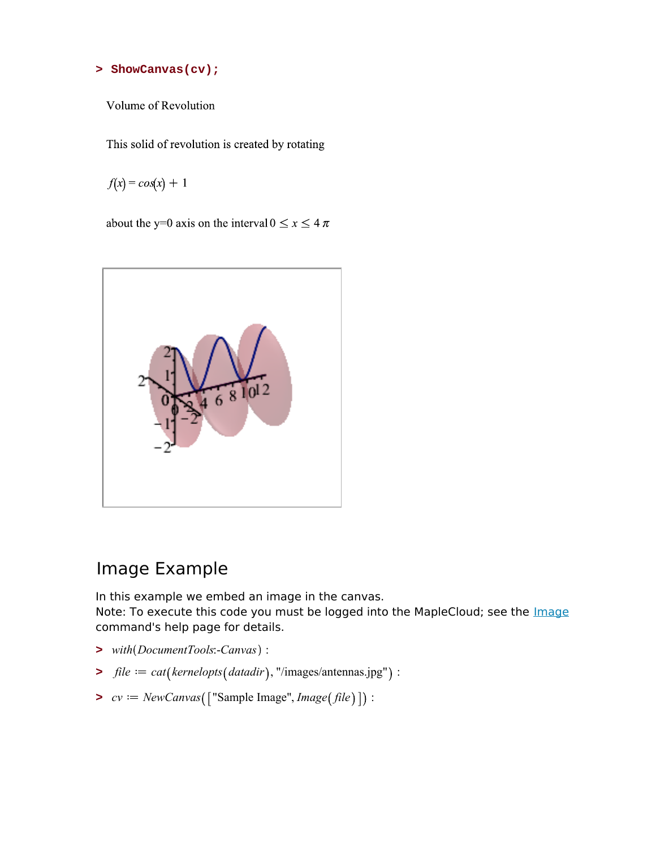#### **> ShowCanvas(cv);**

Volume of Revolution

This solid of revolution is created by rotating

 $f(x) = cos(x) + 1$ 

about the y=0 axis on the interval  $0 \le x \le 4\pi$ 



#### Image Example

In this example we embed an image in the canvas. Note: To execute this code you must be logged into the MapleCloud; see the *Image* 

- command's help page for details.
- **>** *with DocumentTools*:-*Canvas* :
- $\Rightarrow$   $file := cat(kernelopts(datadir), "/images/antennas.jpg")$ :
- $\triangleright$  *cv*  $:=$  *NewCanvas* (["Sample Image", *Image* (*file*)]) :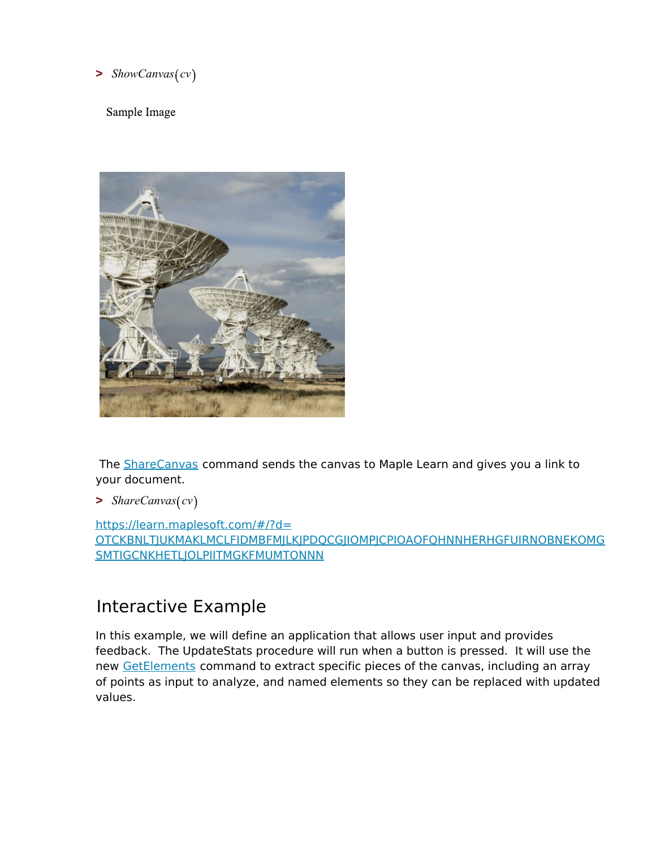**>** *ShowCanvas cv*

Sample Image



 The ShareCanvas command sends the canvas to Maple Learn and gives you a link to your document.

**>** *ShareCanvas cv*

https://learn.maplesoft.com/#/?d= OTCKBNLTJUKMAKLMCLFIDMBFMJLKJPDQCGJIOMPJCPIOAOFQHNNHERHGFUIRNOBNEKOMG **SMTIGCNKHETLJOLPIITMGKFMUMTONNN** 

### Interactive Example

In this example, we will define an application that allows user input and provides feedback. The UpdateStats procedure will run when a button is pressed. It will use the new GetElements command to extract specific pieces of the canvas, including an array of points as input to analyze, and named elements so they can be replaced with updated values.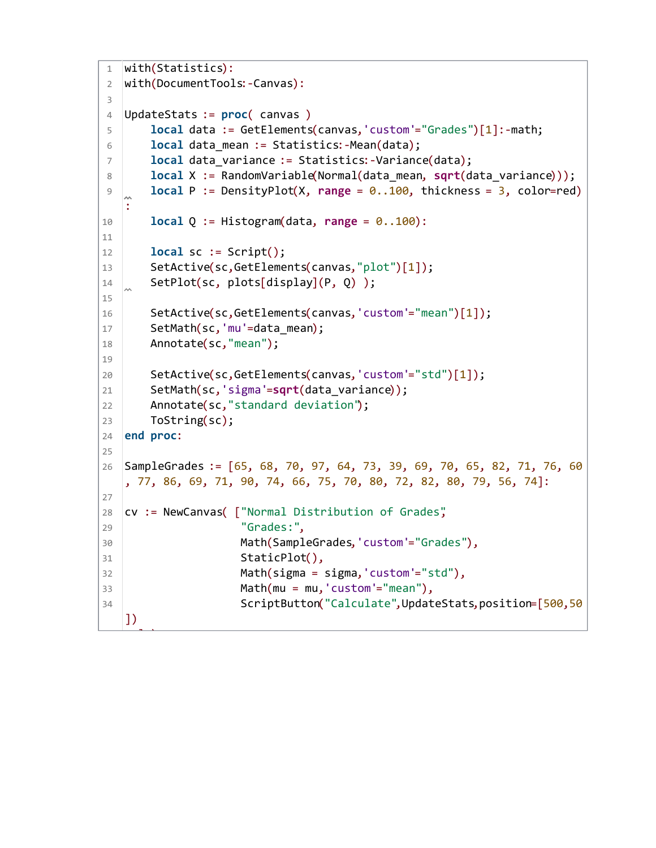```
1
2
3
4
5
6
7
8
9
10
11
12
13
14
15
16
17
18
19
20
21
22
23
24
25
26
27
28
29
30
31
32
33
34
   with(Statistics):
   with(DocumentTools:-Canvas):
   UpdateStats := proc( canvas )
        local data := GetElements(canvas,'custom'="Grades")[1]:-math;
       local data mean := Statistics:-Mean(data);
       local data variance := Statistics:-Variance(data);
        local X := RandomVariable(Normal(data_mean, sqrt(data_variance)));
        local P := DensityPlot(X, range = 0..100, thickness = 3, color=red)
   :
        local Q := Histogram(data, range = 0..100):
        local sc := Script();
        SetActive(sc,GetElements(canvas,"plot")[1]);
        SetPlot(sc, plots[display](P, Q) );
        SetActive(sc,GetElements(canvas,'custom'="mean")[1]);
       SetMath(sc,'mu'=data_mean);
        Annotate(sc,"mean");
        SetActive(sc,GetElements(canvas,'custom'="std")[1]);
        SetMath(sc,'sigma'=sqrt(data_variance));
       Annotate(sc,"standard deviation");
        ToString(sc);
   end proc:
   SampleGrades := [65, 68, 70, 97, 64, 73, 39, 69, 70, 65, 82, 71, 76, 60
   , 77, 86, 69, 71, 90, 74, 66, 75, 70, 80, 72, 82, 80, 79, 56, 74]:
   cv := NewCanvas( ["Normal Distribution of Grades",
                       "Grades:",
                       Math(SampleGrades,'custom'="Grades"),
                       StaticPlot(),
                       Math(sigma = sigma,'custom'="std"),
                       Math(mu = mu,'custom'="mean"),
                       ScriptButton("Calculate",UpdateStats,position=[500,50
   ])
```
] ):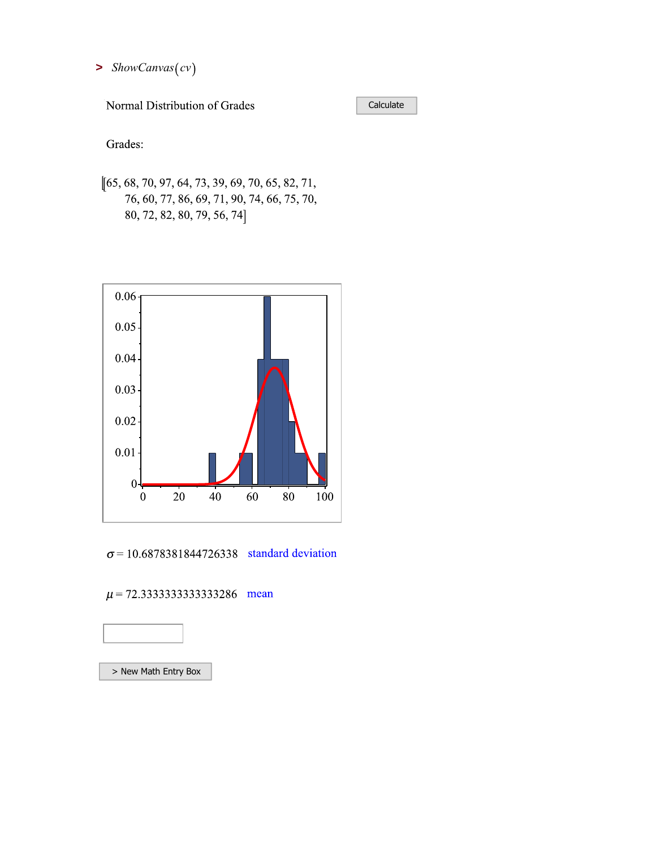**>** *ShowCanvas cv*

Normal Distribution of Grades

**Calculate** 

Grades:

[65, 68, 70, 97, 64, 73, 39, 69, 70, 65, 82, 71, 76, 60, 77, 86, 69, 71, 90, 74, 66, 75, 70, 80, 72, 82, 80, 79, 56, 74]



 $\sigma$  = 10.6878381844726338 standard deviation

 $\mu$  = 72.3333333333333286 mean

> New Math Entry Box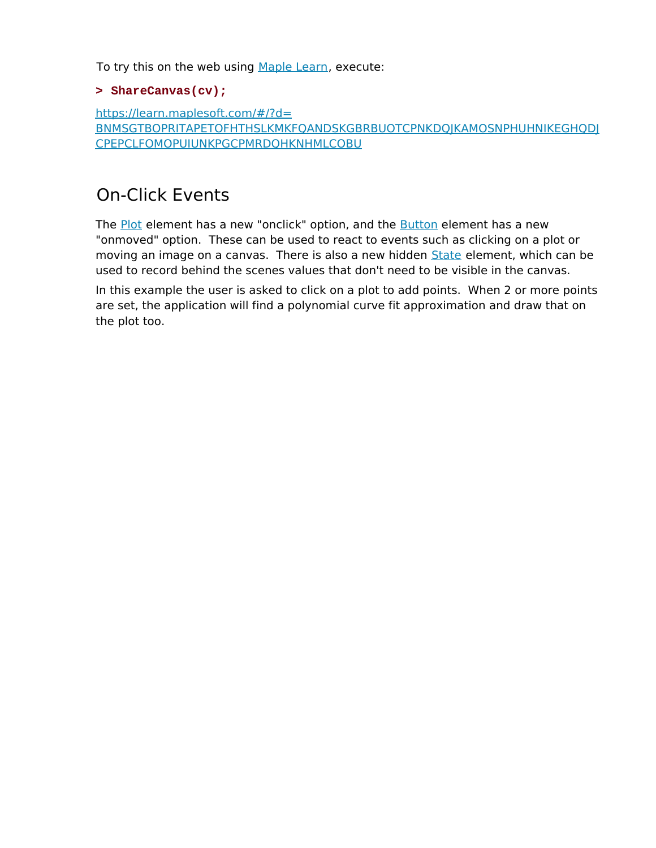To try this on the web using Maple Learn, execute:

**> ShareCanvas(cv);**

https://learn.maplesoft.com/#/?d= BNMSGTBOPRITAPETOFHTHSLKMKFQANDSKGBRBUOTCPNKDQJKAMOSNPHUHNIKEGHQDJ CPEPCLFOMOPUIUNKPGCPMRDQHKNHMLCOBU

### On-Click Events

The Plot element has a new "onclick" option, and the Button element has a new "onmoved" option. These can be used to react to events such as clicking on a plot or moving an image on a canvas. There is also a new hidden **State** element, which can be used to record behind the scenes values that don't need to be visible in the canvas.

In this example the user is asked to click on a plot to add points. When 2 or more points are set, the application will find a polynomial curve fit approximation and draw that on the plot too.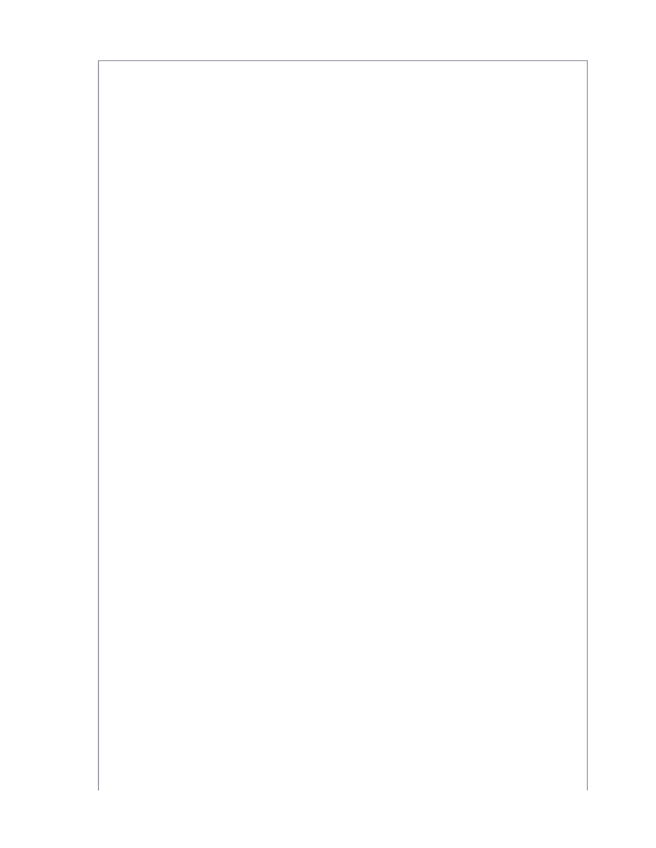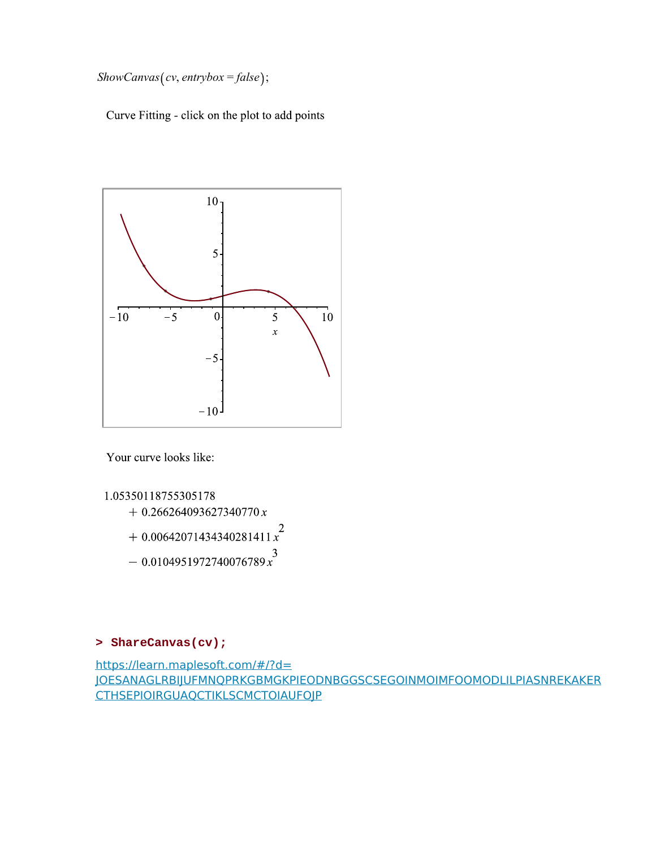ShowCanvas(cv, entrybox = false);

Curve Fitting - click on the plot to add points



Your curve looks like:

1.05350118755305178

 $+0.266264093627340770 x$ 

+  $0.00642071434340281411 x^2$ 

 $-0.0104951972740076789 x^3$ 

#### > ShareCanvas(cv);

https://learn.maplesoft.com/#/?d= <u>IOESANAGLRBIJUFMNQPRKGBMGKPIEODNBGGSCSEGOINMOIMFOOMODLILPIASNREKAKER</u> **CTHSEPIOIRGUAQCTIKLSCMCTOIAUFOIP**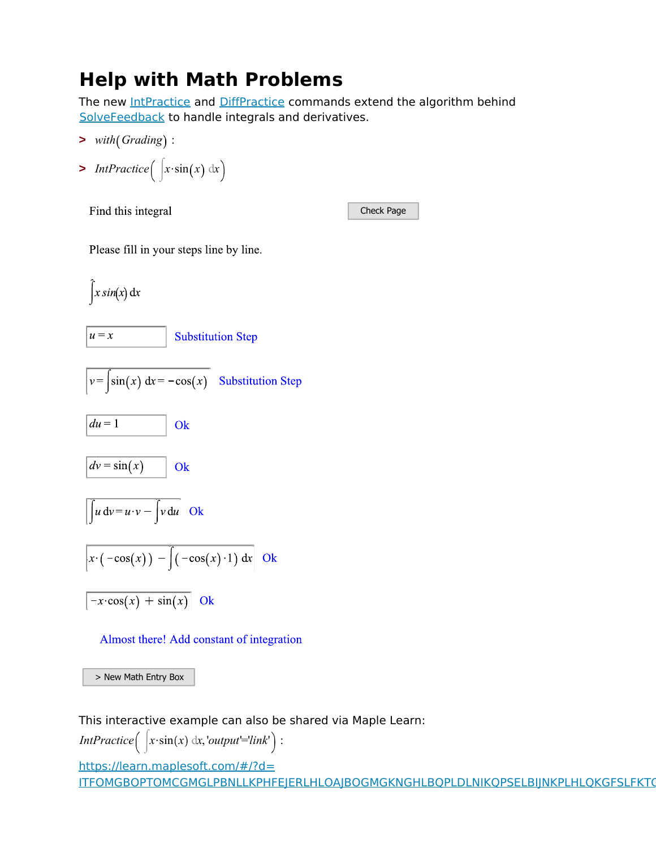## **Help with Math Problems**

The new IntPractice and DiffPractice commands extend the algorithm behind SolveFeedback to handle integrals and derivatives.

**>** *with Grading* :

> *IntPractice* 
$$
\left( \int x \cdot \sin(x) dx \right)
$$

Find this integral

Check Page

Please fill in your steps line by line.

 $\int x \sin(x) dx$ 

 $u = x$ 

**Substitution Step** 

 $v = \left| \sin(x) dx = -\cos(x) \right|$  Substitution Step

Ok

 $|du=1$ 

 $dv = \sin(x)$ Ok

$$
\int u \, dv = u \cdot v - \int v \, du \quad Ok
$$

$$
x \cdot (-\cos(x)) - \int (-\cos(x) \cdot 1) dx \quad \text{Ok}
$$

 $\overline{-x \cdot \cos(x) + \sin(x)}$  Ok

Almost there! Add constant of integration

> New Math Entry Box

This interactive example can also be shared via Maple Learn:

*IntPractice*  $\left(x \cdot \sin(x) \, dx, \text{'}output='link'\right)$ :

https://learn.maplesoft.com/#/?d=

ITFOMGBOPTOMCGMGLPBNLLKPHFEJERLHLOAJBOGMGKNGHLBQPLDLNIKQPSELBIJNKPLHLQKGFSLFKTO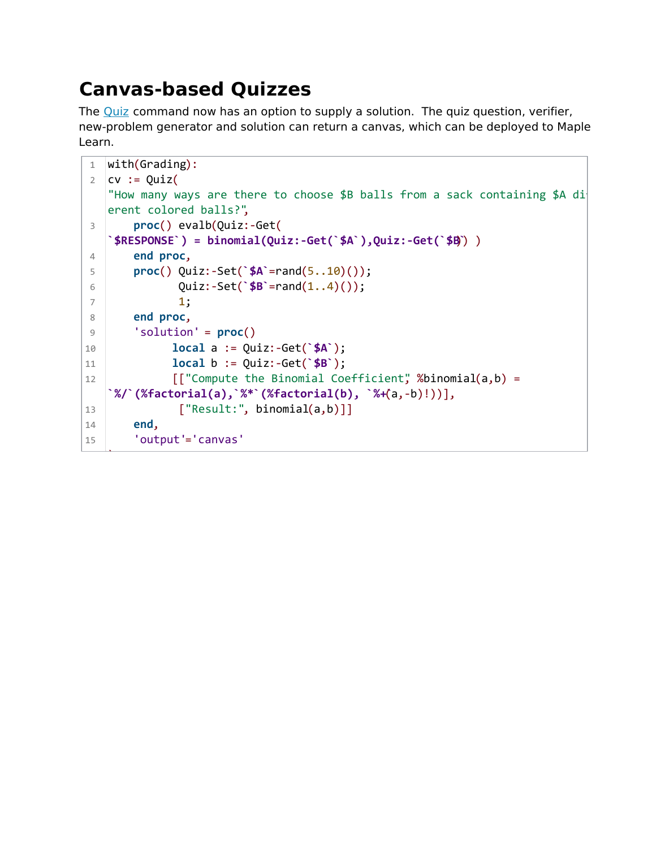# **Canvas-based Quizzes**

The Quiz command now has an option to supply a solution. The quiz question, verifier, new-problem generator and solution can return a canvas, which can be deployed to Maple Learn.

```
1
with(Grading):
 2 cv := Quiz(3
4
5
6
7
8
9
10
11
12
13
14
15
   "How many ways are there to choose $B balls from a sack containing $A di
   erent colored balls?",
         proc() evalb(Quiz:-Get(
   `$RESPONSE`) = binomial(Quiz:-Get(`$A`),Quiz:-Get(`$B`)) )
        end proc,
         proc() Quiz:-Set(`$A`=rand(5..10)());
                Quiz:-Set(`$B`=rand(1..4)());
                1;
        end proc,
         'solution' = proc()
               local a := Quiz:-Get(`$A`);
               local b := Quiz:-Get(`$B`);
              \lceil["Compute the Binomial Coefficient", %binomial(a,b) =
   `%/`(%factorial(a),`%*`(%factorial(b), `%+`(a,-b)!))],
                ["Result:", binomial(a,b)]]
         end,
         'output'='canvas'
   ):
```